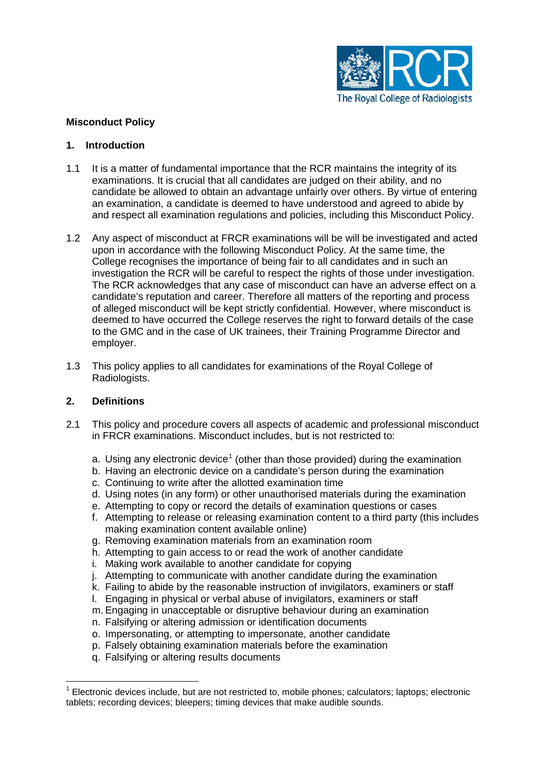

### **Misconduct Policy**

#### **1. Introduction**

- 1.1 It is a matter of fundamental importance that the RCR maintains the integrity of its examinations. It is crucial that all candidates are judged on their ability, and no candidate be allowed to obtain an advantage unfairly over others. By virtue of entering an examination, a candidate is deemed to have understood and agreed to abide by and respect all examination regulations and policies, including this Misconduct Policy.
- 1.2 Any aspect of misconduct at FRCR examinations will be will be investigated and acted upon in accordance with the following Misconduct Policy. At the same time, the College recognises the importance of being fair to all candidates and in such an investigation the RCR will be careful to respect the rights of those under investigation. The RCR acknowledges that any case of misconduct can have an adverse effect on a candidate's reputation and career. Therefore all matters of the reporting and process of alleged misconduct will be kept strictly confidential. However, where misconduct is deemed to have occurred the College reserves the right to forward details of the case to the GMC and in the case of UK trainees, their Training Programme Director and employer.
- 1.3 This policy applies to all candidates for examinations of the Royal College of Radiologists.

#### **2. Definitions**

 $\overline{a}$ 

- 2.1 This policy and procedure covers all aspects of academic and professional misconduct in FRCR examinations. Misconduct includes, but is not restricted to:
	- a. Using any electronic device<sup>[1](#page-0-0)</sup> (other than those provided) during the examination
	- b. Having an electronic device on a candidate's person during the examination
	- c. Continuing to write after the allotted examination time
	- d. Using notes (in any form) or other unauthorised materials during the examination
	- e. Attempting to copy or record the details of examination questions or cases
	- f. Attempting to release or releasing examination content to a third party (this includes making examination content available online)
	- g. Removing examination materials from an examination room
	- h. Attempting to gain access to or read the work of another candidate
	- i. Making work available to another candidate for copying
	- j. Attempting to communicate with another candidate during the examination
	- k. Failing to abide by the reasonable instruction of invigilators, examiners or staff
	- l. Engaging in physical or verbal abuse of invigilators, examiners or staff
	- m. Engaging in unacceptable or disruptive behaviour during an examination
	- n. Falsifying or altering admission or identification documents
	- o. Impersonating, or attempting to impersonate, another candidate
	- p. Falsely obtaining examination materials before the examination
	- q. Falsifying or altering results documents

<span id="page-0-0"></span><sup>1</sup> Electronic devices include, but are not restricted to, mobile phones; calculators; laptops; electronic tablets; recording devices; bleepers; timing devices that make audible sounds.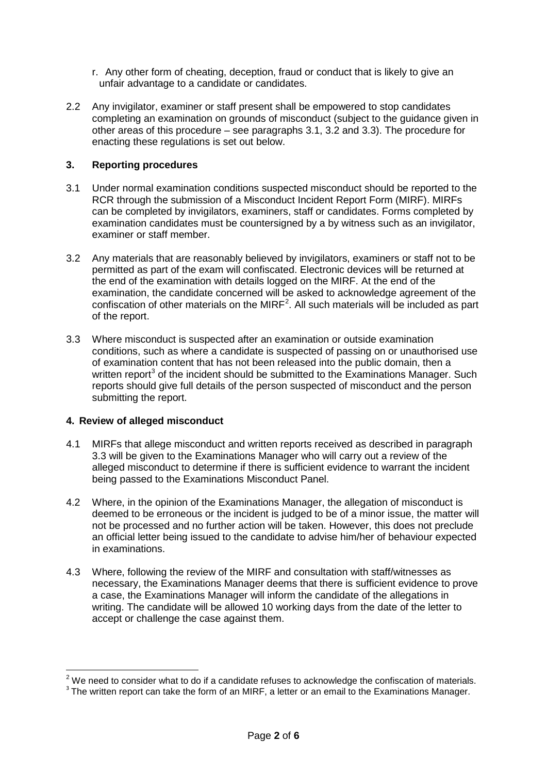- r. Any other form of cheating, deception, fraud or conduct that is likely to give an unfair advantage to a candidate or candidates.
- 2.2 Any invigilator, examiner or staff present shall be empowered to stop candidates completing an examination on grounds of misconduct (subject to the guidance given in other areas of this procedure – see paragraphs 3.1, 3.2 and 3.3). The procedure for enacting these regulations is set out below.

#### **3. Reporting procedures**

- 3.1 Under normal examination conditions suspected misconduct should be reported to the RCR through the submission of a Misconduct Incident Report Form (MIRF). MIRFs can be completed by invigilators, examiners, staff or candidates. Forms completed by examination candidates must be countersigned by a by witness such as an invigilator, examiner or staff member.
- 3.2 Any materials that are reasonably believed by invigilators, examiners or staff not to be permitted as part of the exam will confiscated. Electronic devices will be returned at the end of the examination with details logged on the MIRF. At the end of the examination, the candidate concerned will be asked to acknowledge agreement of the confiscation of other materials on the  $MIRF<sup>2</sup>$  $MIRF<sup>2</sup>$  $MIRF<sup>2</sup>$ . All such materials will be included as part of the report.
- 3.3 Where misconduct is suspected after an examination or outside examination conditions, such as where a candidate is suspected of passing on or unauthorised use of examination content that has not been released into the public domain, then a written report<sup>[3](#page-1-1)</sup> of the incident should be submitted to the Examinations Manager. Such reports should give full details of the person suspected of misconduct and the person submitting the report.

#### **4. Review of alleged misconduct**

 $\overline{a}$ 

- 4.1 MIRFs that allege misconduct and written reports received as described in paragraph 3.3 will be given to the Examinations Manager who will carry out a review of the alleged misconduct to determine if there is sufficient evidence to warrant the incident being passed to the Examinations Misconduct Panel.
- 4.2 Where, in the opinion of the Examinations Manager, the allegation of misconduct is deemed to be erroneous or the incident is judged to be of a minor issue, the matter will not be processed and no further action will be taken. However, this does not preclude an official letter being issued to the candidate to advise him/her of behaviour expected in examinations.
- 4.3 Where, following the review of the MIRF and consultation with staff/witnesses as necessary, the Examinations Manager deems that there is sufficient evidence to prove a case, the Examinations Manager will inform the candidate of the allegations in writing. The candidate will be allowed 10 working days from the date of the letter to accept or challenge the case against them.

<span id="page-1-0"></span> $2$  We need to consider what to do if a candidate refuses to acknowledge the confiscation of materials.

<span id="page-1-1"></span> $3$  The written report can take the form of an MIRF, a letter or an email to the Examinations Manager.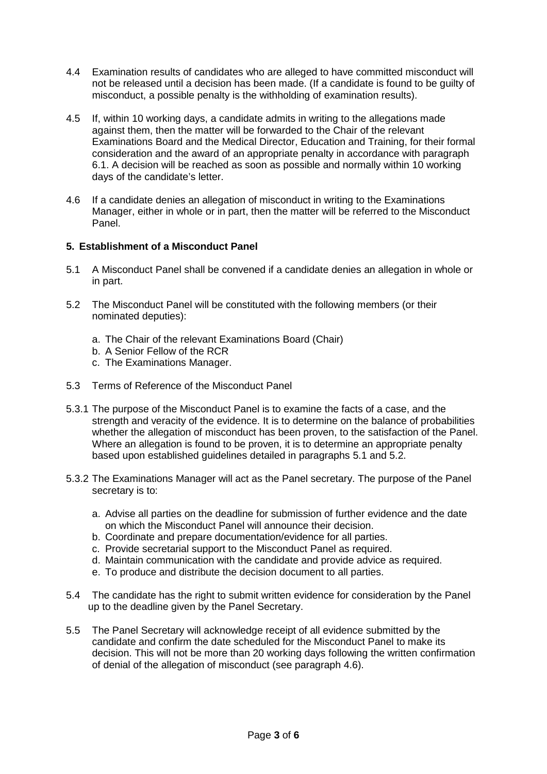- 4.4 Examination results of candidates who are alleged to have committed misconduct will not be released until a decision has been made. (If a candidate is found to be guilty of misconduct, a possible penalty is the withholding of examination results).
- 4.5 If, within 10 working days, a candidate admits in writing to the allegations made against them, then the matter will be forwarded to the Chair of the relevant Examinations Board and the Medical Director, Education and Training, for their formal consideration and the award of an appropriate penalty in accordance with paragraph 6.1. A decision will be reached as soon as possible and normally within 10 working days of the candidate's letter.
- 4.6 If a candidate denies an allegation of misconduct in writing to the Examinations Manager, either in whole or in part, then the matter will be referred to the Misconduct Panel.

#### **5. Establishment of a Misconduct Panel**

- 5.1 A Misconduct Panel shall be convened if a candidate denies an allegation in whole or in part.
- 5.2 The Misconduct Panel will be constituted with the following members (or their nominated deputies):
	- a. The Chair of the relevant Examinations Board (Chair)
	- b. A Senior Fellow of the RCR
	- c. The Examinations Manager.
- 5.3 Terms of Reference of the Misconduct Panel
- 5.3.1 The purpose of the Misconduct Panel is to examine the facts of a case, and the strength and veracity of the evidence. It is to determine on the balance of probabilities whether the allegation of misconduct has been proven, to the satisfaction of the Panel. Where an allegation is found to be proven, it is to determine an appropriate penalty based upon established guidelines detailed in paragraphs 5.1 and 5.2.
- 5.3.2 The Examinations Manager will act as the Panel secretary. The purpose of the Panel secretary is to:
	- a. Advise all parties on the deadline for submission of further evidence and the date on which the Misconduct Panel will announce their decision.
	- b. Coordinate and prepare documentation/evidence for all parties.
	- c. Provide secretarial support to the Misconduct Panel as required.
	- d. Maintain communication with the candidate and provide advice as required.
	- e. To produce and distribute the decision document to all parties.
- 5.4 The candidate has the right to submit written evidence for consideration by the Panel up to the deadline given by the Panel Secretary.
- 5.5 The Panel Secretary will acknowledge receipt of all evidence submitted by the candidate and confirm the date scheduled for the Misconduct Panel to make its decision. This will not be more than 20 working days following the written confirmation of denial of the allegation of misconduct (see paragraph 4.6).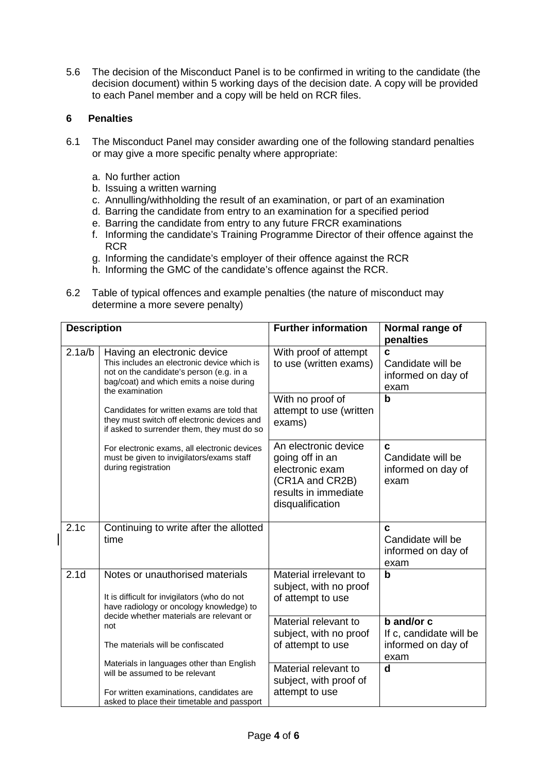5.6 The decision of the Misconduct Panel is to be confirmed in writing to the candidate (the decision document) within 5 working days of the decision date. A copy will be provided to each Panel member and a copy will be held on RCR files.

## **6 Penalties**

- 6.1 The Misconduct Panel may consider awarding one of the following standard penalties or may give a more specific penalty where appropriate:
	- a. No further action
	- b. Issuing a written warning
	- c. Annulling/withholding the result of an examination, or part of an examination
	- d. Barring the candidate from entry to an examination for a specified period
	- e. Barring the candidate from entry to any future FRCR examinations
	- f. Informing the candidate's Training Programme Director of their offence against the **RCR**
	- g. Informing the candidate's employer of their offence against the RCR
	- h. Informing the GMC of the candidate's offence against the RCR.
- 6.2 Table of typical offences and example penalties (the nature of misconduct may determine a more severe penalty)

|  | <b>Description</b> |                                                                                                                                                                                       | <b>Further information</b>                                                                                                | Normal range of<br>penalties                                        |
|--|--------------------|---------------------------------------------------------------------------------------------------------------------------------------------------------------------------------------|---------------------------------------------------------------------------------------------------------------------------|---------------------------------------------------------------------|
|  | 2.1a/b             | Having an electronic device<br>This includes an electronic device which is<br>not on the candidate's person (e.g. in a<br>bag/coat) and which emits a noise during<br>the examination | With proof of attempt<br>to use (written exams)                                                                           | $\mathbf c$<br>Candidate will be<br>informed on day of<br>exam      |
|  |                    | Candidates for written exams are told that<br>they must switch off electronic devices and<br>if asked to surrender them, they must do so                                              | With no proof of<br>attempt to use (written<br>exams)                                                                     | $\mathbf b$                                                         |
|  |                    | For electronic exams, all electronic devices<br>must be given to invigilators/exams staff<br>during registration                                                                      | An electronic device<br>going off in an<br>electronic exam<br>(CR1A and CR2B)<br>results in immediate<br>disqualification | C<br>Candidate will be<br>informed on day of<br>exam                |
|  | 2.1c               | Continuing to write after the allotted<br>time                                                                                                                                        |                                                                                                                           | C<br>Candidate will be<br>informed on day of<br>exam                |
|  | 2.1 <sub>d</sub>   | Notes or unauthorised materials<br>It is difficult for invigilators (who do not<br>have radiology or oncology knowledge) to                                                           | Material irrelevant to<br>subject, with no proof<br>of attempt to use                                                     | $\mathbf b$                                                         |
|  |                    | decide whether materials are relevant or<br>not<br>The materials will be confiscated                                                                                                  | Material relevant to<br>subject, with no proof<br>of attempt to use                                                       | b and/or c<br>If c, candidate will be<br>informed on day of<br>exam |
|  |                    | Materials in languages other than English<br>will be assumed to be relevant<br>For written examinations, candidates are<br>asked to place their timetable and passport                | Material relevant to<br>subject, with proof of<br>attempt to use                                                          | $\mathbf d$                                                         |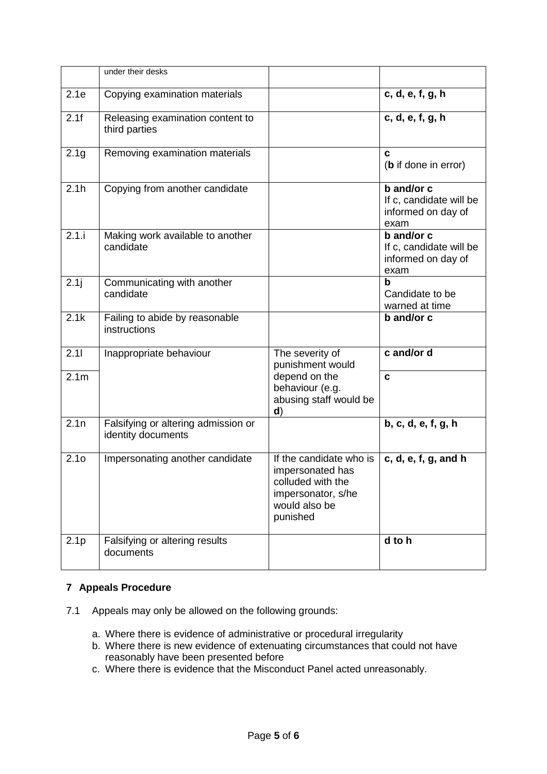|                  | under their desks                                         |                                                                                                                     |                                                                     |
|------------------|-----------------------------------------------------------|---------------------------------------------------------------------------------------------------------------------|---------------------------------------------------------------------|
| 2.1e             | Copying examination materials                             |                                                                                                                     | c, d, e, f, g, h                                                    |
| 2.1f             | Releasing examination content to<br>third parties         |                                                                                                                     | c, d, e, f, g, h                                                    |
| 2.1 <sub>g</sub> | Removing examination materials                            |                                                                                                                     | c<br>( <b>b</b> if done in error)                                   |
| 2.1h             | Copying from another candidate                            |                                                                                                                     | b and/or c<br>If c, candidate will be<br>informed on day of<br>exam |
| 2.1.i            | Making work available to another<br>candidate             |                                                                                                                     | b and/or c<br>If c, candidate will be<br>informed on day of<br>exam |
| 2.1j             | Communicating with another<br>candidate                   |                                                                                                                     | b<br>Candidate to be<br>warned at time                              |
| 2.1k             | Failing to abide by reasonable<br>instructions            |                                                                                                                     | b and/or c                                                          |
| 2.11             | Inappropriate behaviour                                   | The severity of<br>punishment would                                                                                 | c and/or d                                                          |
| 2.1 <sub>m</sub> |                                                           | depend on the<br>behaviour (e.g.<br>abusing staff would be<br>$\mathbf{d}$                                          | C                                                                   |
| 2.1n             | Falsifying or altering admission or<br>identity documents |                                                                                                                     | b, c, d, e, f, g, h                                                 |
| 2.1 <sub>o</sub> | Impersonating another candidate                           | If the candidate who is<br>impersonated has<br>colluded with the<br>impersonator, s/he<br>would also be<br>punished | c, d, e, f, g, and h                                                |
| 2.1 <sub>p</sub> | Falsifying or altering results<br>documents               |                                                                                                                     | d to h                                                              |

# **7 Appeals Procedure**

- 7.1 Appeals may only be allowed on the following grounds:
	- a. Where there is evidence of administrative or procedural irregularity
	- b. Where there is new evidence of extenuating circumstances that could not have reasonably have been presented before
	- c. Where there is evidence that the Misconduct Panel acted unreasonably.